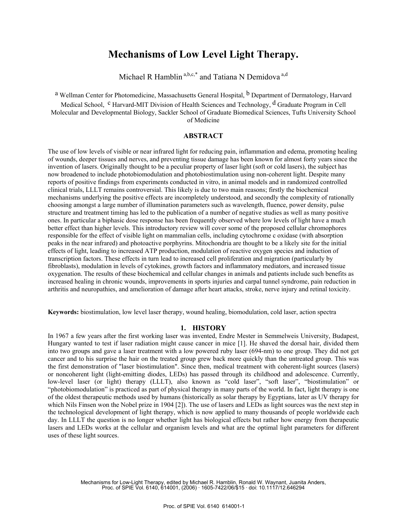# **Mechanisms of Low Level Light Therapy.**

Michael R Hamblin<sup>a,b,c,\*</sup> and Tatiana N Demidova<sup>a,d</sup>

a Wellman Center for Photomedicine, Massachusetts General Hospital, <sup>b</sup> Department of Dermatology, Harvard Medical School, <sup>c</sup> Harvard-MIT Division of Health Sciences and Technology, <sup>d</sup> Graduate Program in Cell Molecular and Developmental Biology, Sackler School of Graduate Biomedical Sciences, Tufts University School of Medicine

# **ABSTRACT**

The use of low levels of visible or near infrared light for reducing pain, inflammation and edema, promoting healing of wounds, deeper tissues and nerves, and preventing tissue damage has been known for almost forty years since the invention of lasers. Originally thought to be a peculiar property of laser light (soft or cold lasers), the subject has now broadened to include photobiomodulation and photobiostimulation using non-coherent light. Despite many reports of positive findings from experiments conducted in vitro, in animal models and in randomized controlled clinical trials, LLLT remains controversial. This likely is due to two main reasons; firstly the biochemical mechanisms underlying the positive effects are incompletely understood, and secondly the complexity of rationally choosing amongst a large number of illumination parameters such as wavelength, fluence, power density, pulse structure and treatment timing has led to the publication of a number of negative studies as well as many positive ones. In particular a biphasic dose response has been frequently observed where low levels of light have a much better effect than higher levels. This introductory review will cover some of the proposed cellular chromophores responsible for the effect of visible light on mammalian cells, including cytochrome c oxidase (with absorption peaks in the near infrared) and photoactive porphyrins. Mitochondria are thought to be a likely site for the initial effects of light, leading to increased ATP production, modulation of reactive oxygen species and induction of transcription factors. These effects in turn lead to increased cell proliferation and migration (particularly by fibroblasts), modulation in levels of cytokines, growth factors and inflammatory mediators, and increased tissue oxygenation. The results of these biochemical and cellular changes in animals and patients include such benefits as increased healing in chronic wounds, improvements in sports injuries and carpal tunnel syndrome, pain reduction in arthritis and neuropathies, and amelioration of damage after heart attacks, stroke, nerve injury and retinal toxicity.

**Keywords:** biostimulation, low level laser therapy, wound healing, biomodulation, cold laser, action spectra

#### **1. HISTORY**

In 1967 a few years after the first working laser was invented, Endre Mester in Semmelweis University, Budapest, Hungary wanted to test if laser radiation might cause cancer in mice [1]. He shaved the dorsal hair, divided them into two groups and gave a laser treatment with a low powered ruby laser (694-nm) to one group. They did not get cancer and to his surprise the hair on the treated group grew back more quickly than the untreated group. This was the first demonstration of "laser biostimulation". Since then, medical treatment with coherent-light sources (lasers) or noncoherent light (light-emitting diodes, LEDs) has passed through its childhood and adolescence. Currently, low-level laser (or light) therapy (LLLT), also known as "cold laser", "soft laser", "biostimulation" or "photobiomodulation" is practiced as part of physical therapy in many parts of the world. In fact, light therapy is one of the oldest therapeutic methods used by humans (historically as solar therapy by Egyptians, later as UV therapy for which Nils Finsen won the Nobel prize in 1904 [2]). The use of lasers and LEDs as light sources was the next step in the technological development of light therapy, which is now applied to many thousands of people worldwide each day. In LLLT the question is no longer whether light has biological effects but rather how energy from therapeutic lasers and LEDs works at the cellular and organism levels and what are the optimal light parameters for different uses of these light sources.

> Mechanisms for Low-Light Therapy, edited by Michael R. Hamblin, Ronald W. Waynant, Juanita Anders, Proc. of SPIE Vol. 6140, 614001, (2006) · 1605-7422/06/\$15 · doi: 10.1117/12.646294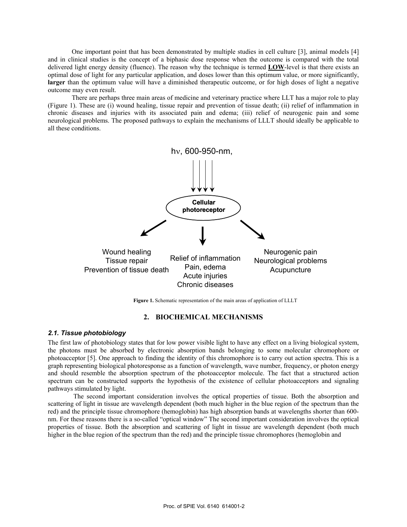One important point that has been demonstrated by multiple studies in cell culture [3], animal models [4] and in clinical studies is the concept of a biphasic dose response when the outcome is compared with the total delivered light energy density (fluence). The reason why the technique is termed **LOW**-level is that there exists an optimal dose of light for any particular application, and doses lower than this optimum value, or more significantly, **larger** than the optimum value will have a diminished therapeutic outcome, or for high doses of light a negative outcome may even result.

There are perhaps three main areas of medicine and veterinary practice where LLT has a major role to play (Figure 1). These are (i) wound healing, tissue repair and prevention of tissue death; (ii) relief of inflammation in chronic diseases and injuries with its associated pain and edema; (iii) relief of neurogenic pain and some neurological problems. The proposed pathways to explain the mechanisms of LLLT should ideally be applicable to all these conditions.



**Figure 1.** Schematic representation of the main areas of application of LLLT

# **2. BIOCHEMICAL MECHANISMS**

# *2.1. Tissue photobiology*

The first law of photobiology states that for low power visible light to have any effect on a living biological system, the photons must be absorbed by electronic absorption bands belonging to some molecular chromophore or photoacceptor [5]. One approach to finding the identity of this chromophore is to carry out action spectra. This is a graph representing biological photoresponse as a function of wavelength, wave number, frequency, or photon energy and should resemble the absorption spectrum of the photoacceptor molecule. The fact that a structured action spectrum can be constructed supports the hypothesis of the existence of cellular photoacceptors and signaling pathways stimulated by light.

 The second important consideration involves the optical properties of tissue. Both the absorption and scattering of light in tissue are wavelength dependent (both much higher in the blue region of the spectrum than the red) and the principle tissue chromophore (hemoglobin) has high absorption bands at wavelengths shorter than 600 nm. For these reasons there is a so-called "optical window" The second important consideration involves the optical properties of tissue. Both the absorption and scattering of light in tissue are wavelength dependent (both much higher in the blue region of the spectrum than the red) and the principle tissue chromophores (hemoglobin and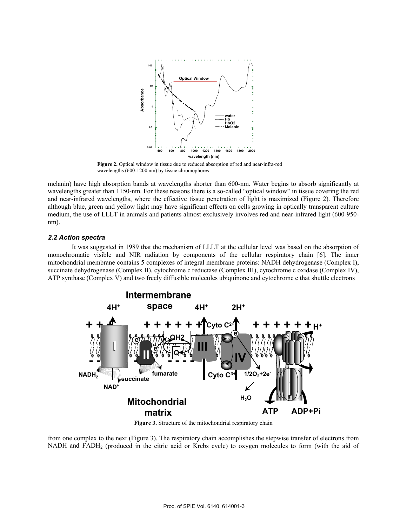

**Figure 2.** Optical window in tissue due to reduced absorption of red and near-infra-red wavelengths (600-1200 nm) by tissue chromophores

melanin) have high absorption bands at wavelengths shorter than 600-nm. Water begins to absorb significantly at wavelengths greater than 1150-nm. For these reasons there is a so-called "optical window" in tissue covering the red and near-infrared wavelengths, where the effective tissue penetration of light is maximized (Figure 2). Therefore although blue, green and yellow light may have significant effects on cells growing in optically transparent culture medium, the use of LLLT in animals and patients almost exclusively involves red and near-infrared light (600-950 nm).

## *2.2 Action spectra*

It was suggested in 1989 that the mechanism of LLLT at the cellular level was based on the absorption of monochromatic visible and NIR radiation by components of the cellular respiratory chain [6]. The inner mitochondrial membrane contains 5 complexes of integral membrane proteins: NADH dehydrogenase (Complex I), succinate dehydrogenase (Complex II), cytochrome c reductase (Complex III), cytochrome c oxidase (Complex IV), ATP synthase (Complex V) and two freely diffusible molecules ubiquinone and cytochrome c that shuttle electrons



Figure 3. Structure of the mitochondrial respiratory chain

from one complex to the next (Figure 3). The respiratory chain accomplishes the stepwise transfer of electrons from NADH and FADH2 (produced in the citric acid or Krebs cycle) to oxygen molecules to form (with the aid of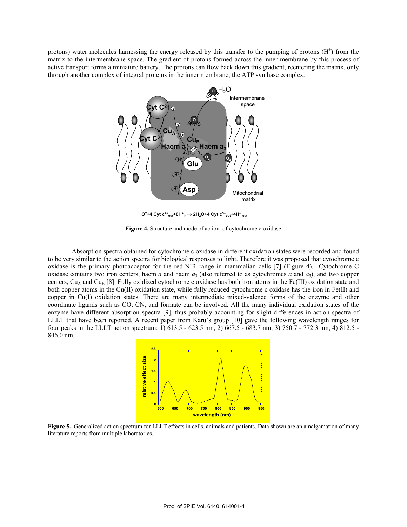protons) water molecules harnessing the energy released by this transfer to the pumping of protons  $(H<sup>+</sup>)$  from the matrix to the intermembrane space. The gradient of protons formed across the inner membrane by this process of active transport forms a miniature battery. The protons can flow back down this gradient, reentering the matrix, only through another complex of integral proteins in the inner membrane, the ATP synthase complex.



**O2+4 Cyt c2+out+8H+ in** → **2H2O+4 Cyt c3+out+4H+ out**

**Figure 4.** Structure and mode of action of cytochrome c oxidase

Absorption spectra obtained for cytochrome c oxidase in different oxidation states were recorded and found to be very similar to the action spectra for biological responses to light. Therefore it was proposed that cytochrome c oxidase is the primary photoacceptor for the red-NIR range in mammalian cells [7] (Figure 4). Cytochrome C oxidase contains two iron centers, haem *a* and haem  $a_3$  (also referred to as cytochromes *a* and  $a_3$ ), and two copper centers, Cu<sub>A</sub> and Cu<sub>B</sub> [8] . Fully oxidized cytochrome c oxidase has both iron atoms in the Fe(III) oxidation state and both copper atoms in the Cu(II) oxidation state, while fully reduced cytochrome c oxidase has the iron in Fe(II) and copper in Cu(I) oxidation states. There are many intermediate mixed-valence forms of the enzyme and other coordinate ligands such as CO, CN, and formate can be involved. All the many individual oxidation states of the enzyme have different absorption spectra [9], thus probably accounting for slight differences in action spectra of LLLT that have been reported. A recent paper from Karu's group [10] gave the following wavelength ranges for four peaks in the LLLT action spectrum: 1) 613.5 - 623.5 nm, 2) 667.5 - 683.7 nm, 3) 750.7 - 772.3 nm, 4) 812.5 - 846.0 nm.



**Figure 5.** Generalized action spectrum for LLLT effects in cells, animals and patients. Data shown are an amalgamation of many literature reports from multiple laboratories.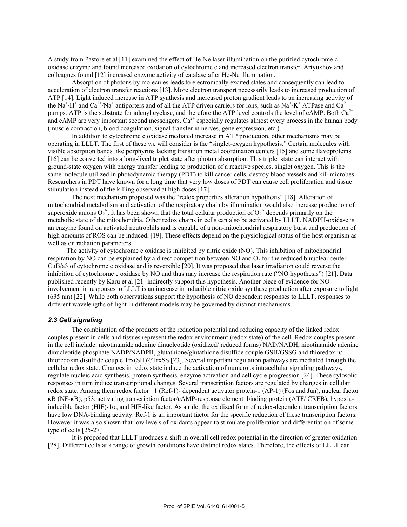A study from Pastore et al [11] examined the effect of He-Ne laser illumination on the purified cytochrome c oxidase enzyme and found increased oxidation of cytochrome c and increased electron transfer. Artyukhov and colleagues found [12] increased enzyme activity of catalase after He-Ne illumination.

Absorption of photons by molecules leads to electronically excited states and consequently can lead to acceleration of electron transfer reactions [13]. More electron transport necessarily leads to increased production of ATP [14]. Light induced increase in ATP synthesis and increased proton gradient leads to an increasing activity of the Na<sup>+</sup>/H<sup>+</sup> and Ca<sup>2+</sup>/Na<sup>+</sup> antiporters and of all the ATP driven carriers for ions, such as Na<sup>+</sup>/K<sup>+</sup> ATPase and Ca<sup>2+</sup> pumps. ATP is the substrate for adenyl cyclase, and therefore the ATP level controls the level of cAMP. Both  $Ca^{2+}$ and cAMP are very important second messengers.  $Ca^{2+}$  especially regulates almost every process in the human body (muscle contraction, blood coagulation, signal transfer in nerves, gene expression, etc.).

In addition to cytochrome c oxidase mediated increase in ATP production, other mechanisms may be operating in LLLT. The first of these we will consider is the "singlet-oxygen hypothesis." Certain molecules with visible absorption bands like porphyrins lacking transition metal coordination centers [15] and some flavoproteins [16] can be converted into a long-lived triplet state after photon absorption. This triplet state can interact with ground-state oxygen with energy transfer leading to production of a reactive species, singlet oxygen. This is the same molecule utilized in photodynamic therapy (PDT) to kill cancer cells, destroy blood vessels and kill microbes. Researchers in PDT have known for a long time that very low doses of PDT can cause cell proliferation and tissue stimulation instead of the killing observed at high doses [17].

The next mechanism proposed was the "redox properties alteration hypothesis" [18]. Alteration of mitochondrial metabolism and activation of the respiratory chain by illumination would also increase production of superoxide anions  $O_2$ . It has been shown that the total cellular production of  $O_2$  depends primarily on the metabolic state of the mitochondria. Other redox chains in cells can also be activated by LLLT. NADPH-oxidase is an enzyme found on activated neutrophils and is capable of a non-mitochondrial respiratory burst and production of high amounts of ROS can be induced. [19]. These effects depend on the physiological status of the host organism as well as on radiation parameters.

 The activity of cytochrome c oxidase is inhibited by nitric oxide (NO). This inhibition of mitochondrial respiration by NO can be explained by a direct competition between NO and  $O<sub>2</sub>$  for the reduced binuclear center CuB/a3 of cytochrome c oxidase and is reversible [20]. It was proposed that laser irradiation could reverse the inhibition of cytochrome c oxidase by NO and thus may increase the respiration rate ("NO hypothesis") [21]. Data published recently by Karu et al [21] indirectly support this hypothesis. Another piece of evidence for NO involvement in responses to LLLT is an increase in inducible nitric oxide synthase production after exposure to light (635 nm) [22]. While both observations support the hypothesis of NO dependent responses to LLLT, responses to different wavelengths of light in different models may be governed by distinct mechanisms.

#### *2.3 Cell signaling*

The combination of the products of the reduction potential and reducing capacity of the linked redox couples present in cells and tissues represent the redox environment (redox state) of the cell. Redox couples present in the cell include: nicotinamide adenine dinucleotide (oxidized/ reduced forms) NAD/NADH, nicotinamide adenine dinucleotide phosphate NADP/NADPH, glutathione/glutathione disulfide couple GSH/GSSG and thioredoxin/ thioredoxin disulfide couple Trx(SH)2/TrxSS [23]. Several important regulation pathways are mediated through the cellular redox state. Changes in redox state induce the activation of numerous intracellular signaling pathways, regulate nucleic acid synthesis, protein synthesis, enzyme activation and cell cycle progression [24]. These cytosolic responses in turn induce transcriptional changes. Several transcription factors are regulated by changes in cellular redox state. Among them redox factor –1 (Ref-1)- dependent activator protein-1 (AP-1) (Fos and Jun), nuclear factor κB (NF-κB), p53, activating transcription factor/cAMP-response element–binding protein (ATF/ CREB), hypoxiainducible factor (HIF)- $1\alpha$ , and HIF-like factor. As a rule, the oxidized form of redox-dependent transcription factors have low DNA-binding activity. Ref-1 is an important factor for the specific reduction of these transcription factors. However it was also shown that low levels of oxidants appear to stimulate proliferation and differentiation of some type of cells [25-27]

It is proposed that LLLT produces a shift in overall cell redox potential in the direction of greater oxidation [28]. Different cells at a range of growth conditions have distinct redox states. Therefore, the effects of LLLT can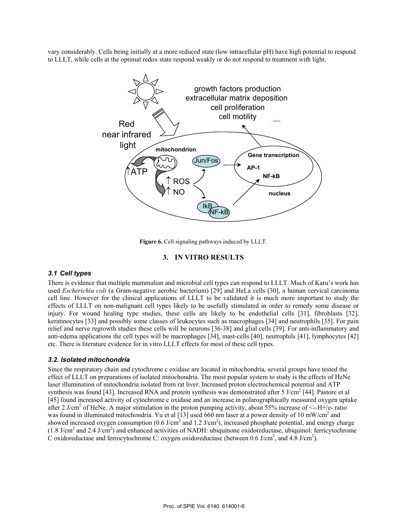vary considerably. Cells being initially at a more reduced state (low intracellular pH) have high potential to respond to LLLT, while cells at the optimal redox state respond weakly or do not respond to treatment with light.



Figure 6. Cell signaling pathways induced by LLLT.

# **3. IN VITRO RESULTS**

# *3.1 Cell types*

There is evidence that multiple mammalian and microbial cell types can respond to LLLT. Much of Karu's work has used *Escherichia coli* (a Gram-negative aerobic bacterium) [29] and HeLa cells [30], a human cervical carcinoma cell line. However for the clinical applications of LLLT to be validated it is much more important to study the effects of LLLT on non-malignant cell types likely to be usefully stimulated in order to remedy some disease or injury. For wound healing type studies, these cells are likely to be endothelial cells [31], fibroblasts [32], keratinocytes [33] and possibly some classes of leukocytes such as macrophages [34] and neutrophils [35]. For pain relief and nerve regrowth studies these cells will be neurons [36-38] and glial cells [39]. For anti-inflammatory and anti-edema applications the cell types will be macrophages [34], mast-cells [40], neutrophils [41], lymphocytes [42] etc. There is literature evidence for in vitro LLLT effects for most of these cell types.

# *3.2. Isolated mitochondria*

Since the respiratory chain and cytochrome c oxidase are located in mitochondria, several groups have tested the effect of LLLT on preparations of isolated mitochondria. The most popular system to study is the effects of HeNe laser illumination of mitochondria isolated from rat liver. Increased proton electrochemical potential and ATP synthesis was found [43]. Increased RNA and protein synthesis was demonstrated after 5 J/cm<sup>2</sup> [44]. Pastore et al [45] found increased activity of cytochrome c oxidase and an increase in polarographically measured oxygen uptake after 2 J/cm<sup>2</sup> of HeNe. A major stimulation in the proton pumping activity, about 55% increase of  $\leq$ -H+/e- ratio was found in illuminated mitochondria. Yu et al  $\lceil 13 \rceil$  used 660 nm laser at a power density of 10 mW/cm<sup>2</sup> and showed increased oxygen consumption (0.6 J/cm<sup>2</sup> and 1.2 J/cm<sup>2</sup>), increased phosphate potential, and energy charge  $(1.8 \text{ J/cm}^2 \text{ and } 2.4 \text{ J/cm}^2)$  and enhanced activities of NADH: ubiquinone oxidoreductase, ubiquinol: ferricytochrome C oxidoreductase and ferrocytochrome C: oxygen oxidoreductase (between 0.6 J/cm<sup>2</sup>, and 4.8 J/cm<sup>2</sup>).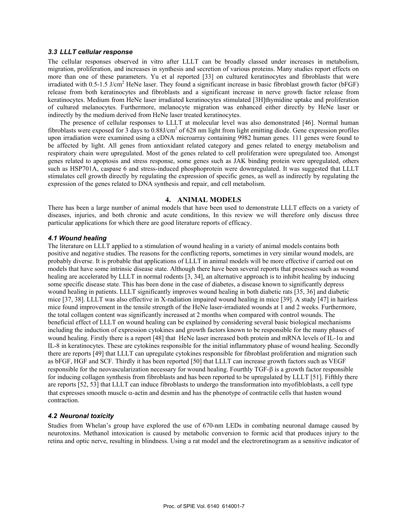## *3.3 LLLT cellular response*

The cellular responses observed in vitro after LLLT can be broadly classed under increases in metabolism, migration, proliferation, and increases in synthesis and secretion of various proteins. Many studies report effects on more than one of these parameters. Yu et al reported [33] on cultured keratinocytes and fibroblasts that were irradiated with 0.5-1.5 J/cm<sup>2</sup> HeNe laser. They found a significant increase in basic fibroblast growth factor (bFGF) release from both keratinocytes and fibroblasts and a significant increase in nerve growth factor release from keratinocytes. Medium from HeNe laser irradiated keratinocytes stimulated [3H]thymidine uptake and proliferation of cultured melanocytes. Furthermore, melanocyte migration was enhanced either directly by HeNe laser or indirectly by the medium derived from HeNe laser treated keratinocytes.

The presence of cellular responses to LLLT at molecular level was also demonstrated [46]. Normal human fibroblasts were exposed for 3 days to  $0.88$ J/cm<sup>2</sup> of 628 nm light from light emitting diode. Gene expression profiles upon irradiation were examined using a cDNA microarray containing 9982 human genes. 111 genes were found to be affected by light. All genes from antioxidant related category and genes related to energy metabolism and respiratory chain were upregulated. Most of the genes related to cell proliferation were upregulated too. Amongst genes related to apoptosis and stress response, some genes such as JAK binding protein were upregulated, others such as HSP701A, caspase 6 and stress-induced phosphoprotein were downregulated. It was suggested that LLLT stimulates cell growth directly by regulating the expression of specific genes, as well as indirectly by regulating the expression of the genes related to DNA synthesis and repair, and cell metabolism.

#### **4. ANIMAL MODELS**

There has been a large number of animal models that have been used to demonstrate LLLT effects on a variety of diseases, injuries, and both chronic and acute conditions, In this review we will therefore only discuss three particular applications for which there are good literature reports of efficacy.

#### *4.1 Wound healing*

The literature on LLLT applied to a stimulation of wound healing in a variety of animal models contains both positive and negative studies. The reasons for the conflicting reports, sometimes in very similar wound models, are probably diverse. It is probable that applications of LLLT in animal models will be more effective if carried out on models that have some intrinsic disease state. Although there have been several reports that processes such as wound healing are accelerated by LLLT in normal rodents [3, 34], an alternative approach is to inhibit healing by inducing some specific disease state. This has been done in the case of diabetes, a disease known to significantly depress wound healing in patients. LLLT significantly improves wound healing in both diabetic rats [35, 36] and diabetic mice [37, 38]. LLLT was also effective in X-radiation impaired wound healing in mice [39]. A study [47] in hairless mice found improvement in the tensile strength of the HeNe laser-irradiated wounds at 1 and 2 weeks. Furthermore, the total collagen content was significantly increased at 2 months when compared with control wounds. The beneficial effect of LLLT on wound healing can be explained by considering several basic biological mechanisms including the induction of expression cytokines and growth factors known to be responsible for the many phases of wound healing. Firstly there is a report [48] that HeNe laser increased both protein and mRNA levels of IL-1α and IL-8 in keratinocytes. These are cytokines responsible for the initial inflammatory phase of wound healing. Secondly there are reports [49] that LLLT can upregulate cytokines responsible for fibroblast proliferation and migration such as bFGF, HGF and SCF. Thirdly it has been reported [50] that LLLT can increase growth factors such as VEGF responsible for the neovascularization necessary for wound healing. Fourthly TGF-β is a growth factor responsible for inducing collagen synthesis from fibroblasts and has been reported to be upregulated by LLLT [51]. Fifthly there are reports [52, 53] that LLLT can induce fibroblasts to undergo the transformation into myofibloblasts, a cell type that expresses smooth muscle  $\alpha$ -actin and desmin and has the phenotype of contractile cells that hasten wound contraction.

#### *4.2 Neuronal toxicity*

Studies from Whelan's group have explored the use of 670-nm LEDs in combating neuronal damage caused by neurotoxins. Methanol intoxication is caused by metabolic conversion to formic acid that produces injury to the retina and optic nerve, resulting in blindness. Using a rat model and the electroretinogram as a sensitive indicator of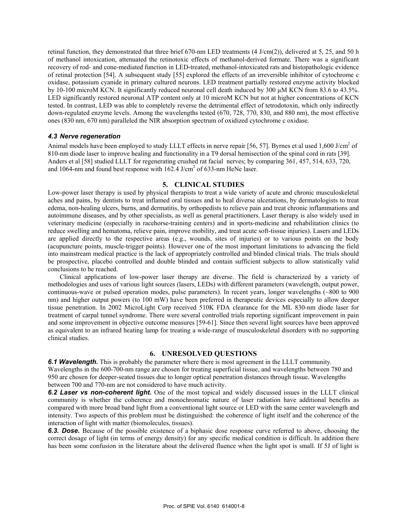retinal function, they demonstrated that three brief 670-nm LED treatments (4 J/cm(2)), delivered at 5, 25, and 50 h of methanol intoxication, attenuated the retinotoxic effects of methanol-derived formate. There was a significant recovery of rod- and cone-mediated function in LED-treated, methanol-intoxicated rats and histopathologic evidence of retinal protection [54]. A subsequent study [55] explored the effects of an irreversible inhibitor of cytochrome c oxidase, potassium cyanide in primary cultured neurons. LED treatment partially restored enzyme activity blocked by 10-100 microM KCN. It significantly reduced neuronal cell death induced by 300 µM KCN from 83.6 to 43.5%. LED significantly restored neuronal ATP content only at 10 microM KCN but not at higher concentrations of KCN tested. In contrast, LED was able to completely reverse the detrimental effect of tetrodotoxin, which only indirectly down-regulated enzyme levels. Among the wavelengths tested (670, 728, 770, 830, and 880 nm), the most effective ones (830 nm, 670 nm) paralleled the NIR absorption spectrum of oxidized cytochrome c oxidase.

## *4.3 Nerve regeneration*

Animal models have been employed to study LLLT effects in nerve repair [56, 57]. Byrnes et al used  $1,600$  J/cm<sup>2</sup> of 810-nm diode laser to improve healing and functionality in a T9 dorsal hemisection of the spinal cord in rats [39]. Anders et al [58] studied LLLT for regenerating crushed rat facial nerves; by comparing 361, 457, 514, 633, 720, and 1064-nm and found best response with  $162.4$  J/cm<sup>2</sup> of 633-nm HeNe laser.

#### **5. CLINICAL STUDIES**

Low-power laser therapy is used by physical therapists to treat a wide variety of acute and chronic musculoskeletal aches and pains, by dentists to treat inflamed oral tissues and to heal diverse ulcerations, by dermatologists to treat edema, non-healing ulcers, burns, and dermatitis, by orthopedists to relieve pain and treat chronic inflammations and autoimmune diseases, and by other specialists, as well as general practitioners. Laser therapy is also widely used in veterinary medicine (especially in racehorse-training centers) and in sports-medicine and rehabilitation clinics (to reduce swelling and hematoma, relieve pain, improve mobility, and treat acute soft-tissue injuries). Lasers and LEDs are applied directly to the respective areas (e.g., wounds, sites of injuries) or to various points on the body (acupuncture points, muscle-trigger points). However one of the most important limitations to advancing the field into mainstream medical practice is the lack of appropriately controlled and blinded clinical trials. The trials should be prospective, placebo controlled and double blinded and contain sufficient subjects to allow statistically valid conclusions to be reached.

Clinical applications of low-power laser therapy are diverse. The field is characterized by a variety of methodologies and uses of various light sources (lasers, LEDs) with different parameters (wavelength, output power, continuous-wave or pulsed operation modes, pulse parameters). In recent years, longer wavelengths (~800 to 900 nm) and higher output powers (to 100 mW) have been preferred in therapeutic devices especially to allow deeper tissue penetration. In 2002 MicroLight Corp received 510K FDA clearance for the ML 830-nm diode laser for treatment of carpal tunnel syndrome. There were several controlled trials reporting significant improvement in pain and some improvement in objective outcome measures [59-61]. Since then several light sources have been approved as equivalent to an infrared heating lamp for treating a wide-range of musculoskeletal disorders with no supporting clinical studies.

#### **6. UNRESOLVED QUESTIONS**

**6.1 Wavelength.** This is probably the parameter where there is most agreement in the LLLT community. Wavelengths in the 600-700-nm range are chosen for treating superficial tissue, and wavelengths between 780 and 950 are chosen for deeper-seated tissues due to longer optical penetration distances through tissue. Wavelengths between 700 and 770-nm are not considered to have much activity.

*6.2 Laser vs non-coherent light.* One of the most topical and widely discussed issues in the LLLT clinical community is whether the coherence and monochromatic nature of laser radiation have additional benefits as compared with more broad band light from a conventional light source or LED with the same center wavelength and intensity. Two aspects of this problem must be distinguished: the coherence of light itself and the coherence of the interaction of light with matter (biomolecules, tissues).

*6.3. Dose.* Because of the possible existence of a biphasic dose response curve referred to above, choosing the correct dosage of light (in terms of energy density) for any specific medical condition is difficult. In addition there has been some confusion in the literature about the delivered fluence when the light spot is small. If 5J of light is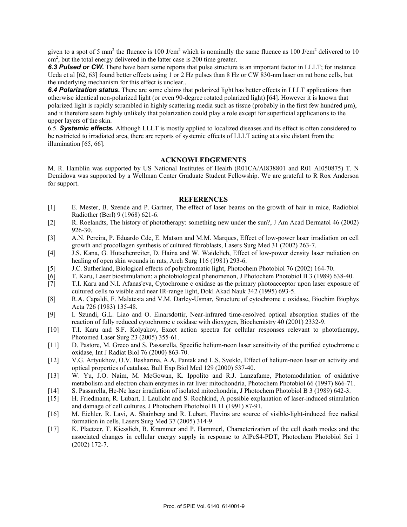given to a spot of 5 mm<sup>2</sup> the fluence is 100 J/cm<sup>2</sup> which is nominally the same fluence as 100 J/cm<sup>2</sup> delivered to 10 cm<sup>2</sup>, but the total energy delivered in the latter case is 200 time greater.

**6.3 Pulsed or CW.** There have been some reports that pulse structure is an important factor in LLLT; for instance Ueda et al [62, 63] found better effects using 1 or 2 Hz pulses than 8 Hz or CW 830-nm laser on rat bone cells, but the underlying mechanism for this effect is unclear..

*6.4 Polarization status.* There are some claims that polarized light has better effects in LLLT applications than otherwise identical non-polarized light (or even 90-degree rotated polarized light) [64]. However it is known that polarized light is rapidly scrambled in highly scattering media such as tissue (probably in the first few hundred µm), and it therefore seem highly unlikely that polarization could play a role except for superficial applications to the upper layers of the skin.

6.5. *Systemic effects.* Although LLLT is mostly applied to localized diseases and its effect is often considered to be restricted to irradiated area, there are reports of systemic effects of LLLT acting at a site distant from the illumination [65, 66].

#### **ACKNOWLEDGEMENTS**

M. R. Hamblin was supported by US National Institutes of Health (R01CA/AI838801 and R01 AI050875) T. N Demidova was supported by a Wellman Center Graduate Student Fellowship. We are grateful to R Rox Anderson for support.

# **REFERENCES**

- [1] E. Mester, B. Szende and P. Gartner, The effect of laser beams on the growth of hair in mice, Radiobiol Radiother (Berl) 9 (1968) 621-6.
- [2] R. Roelandts, The history of phototherapy: something new under the sun?, J Am Acad Dermatol 46 (2002) 926-30.
- [3] A.N. Pereira, P. Eduardo Cde, E. Matson and M.M. Marques, Effect of low-power laser irradiation on cell growth and procollagen synthesis of cultured fibroblasts, Lasers Surg Med 31 (2002) 263-7.
- [4] J.S. Kana, G. Hutschenreiter, D. Haina and W. Waidelich, Effect of low-power density laser radiation on healing of open skin wounds in rats, Arch Surg 116 (1981) 293-6.
- [5] J.C. Sutherland, Biological effects of polychromatic light, Photochem Photobiol 76 (2002) 164-70.
- [6] T. Karu, Laser biostimulation: a photobiological phenomenon, J Photochem Photobiol B 3 (1989) 638-40.
- [7] T.I. Karu and N.I. Afanas'eva, Cytochrome c oxidase as the primary photoacceptor upon laser exposure of cultured cells to visible and near IR-range light, Dokl Akad Nauk 342 (1995) 693-5.
- [8] R.A. Capaldi, F. Malatesta and V.M. Darley-Usmar, Structure of cytochrome c oxidase, Biochim Biophys Acta 726 (1983) 135-48.
- [9] I. Szundi, G.L. Liao and O. Einarsdottir, Near-infrared time-resolved optical absorption studies of the reaction of fully reduced cytochrome c oxidase with dioxygen, Biochemistry 40 (2001) 2332-9.
- [10] T.I. Karu and S.F. Kolyakov, Exact action spectra for cellular responses relevant to phototherapy, Photomed Laser Surg 23 (2005) 355-61.
- [11] D. Pastore, M. Greco and S. Passarella, Specific helium-neon laser sensitivity of the purified cytochrome c oxidase, Int J Radiat Biol 76 (2000) 863-70.
- [12] V.G. Artyukhov, O.V. Basharina, A.A. Pantak and L.S. Sveklo, Effect of helium-neon laser on activity and optical properties of catalase, Bull Exp Biol Med 129 (2000) 537-40.
- [13] W. Yu, J.O. Naim, M. McGowan, K. Ippolito and R.J. Lanzafame, Photomodulation of oxidative metabolism and electron chain enzymes in rat liver mitochondria, Photochem Photobiol 66 (1997) 866-71.
- [14] S. Passarella, He-Ne laser irradiation of isolated mitochondria, J Photochem Photobiol B 3 (1989) 642-3.
- [15] H. Friedmann, R. Lubart, I. Laulicht and S. Rochkind, A possible explanation of laser-induced stimulation and damage of cell cultures, J Photochem Photobiol B 11 (1991) 87-91.
- [16] M. Eichler, R. Lavi, A. Shainberg and R. Lubart, Flavins are source of visible-light-induced free radical formation in cells, Lasers Surg Med 37 (2005) 314-9.
- [17] K. Plaetzer, T. Kiesslich, B. Krammer and P. Hammerl, Characterization of the cell death modes and the associated changes in cellular energy supply in response to AlPcS4-PDT, Photochem Photobiol Sci 1 (2002) 172-7.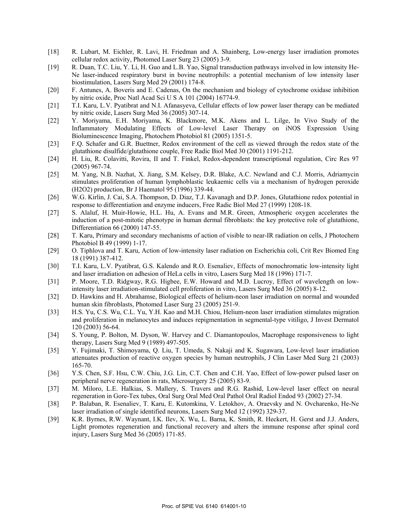- [18] R. Lubart, M. Eichler, R. Lavi, H. Friedman and A. Shainberg, Low-energy laser irradiation promotes cellular redox activity, Photomed Laser Surg 23 (2005) 3-9.
- [19] R. Duan, T.C. Liu, Y. Li, H. Guo and L.B. Yao, Signal transduction pathways involved in low intensity He-Ne laser-induced respiratory burst in bovine neutrophils: a potential mechanism of low intensity laser biostimulation, Lasers Surg Med 29 (2001) 174-8.
- [20] F. Antunes, A. Boveris and E. Cadenas, On the mechanism and biology of cytochrome oxidase inhibition by nitric oxide, Proc Natl Acad Sci U S A 101 (2004) 16774-9.
- [21] T.I. Karu, L.V. Pyatibrat and N.I. Afanasyeva, Cellular effects of low power laser therapy can be mediated by nitric oxide, Lasers Surg Med 36 (2005) 307-14.
- [22] Y. Moriyama, E.H. Moriyama, K. Blackmore, M.K. Akens and L. Lilge, In Vivo Study of the Inflammatory Modulating Effects of Low-level Laser Therapy on iNOS Expression Using Bioluminescence Imaging, Photochem Photobiol 81 (2005) 1351-5.
- [23] F.Q. Schafer and G.R. Buettner, Redox environment of the cell as viewed through the redox state of the glutathione disulfide/glutathione couple, Free Radic Biol Med 30 (2001) 1191-212.
- [24] H. Liu, R. Colavitti, Rovira, II and T. Finkel, Redox-dependent transcriptional regulation, Circ Res 97 (2005) 967-74.
- [25] M. Yang, N.B. Nazhat, X. Jiang, S.M. Kelsey, D.R. Blake, A.C. Newland and C.J. Morris, Adriamycin stimulates proliferation of human lymphoblastic leukaemic cells via a mechanism of hydrogen peroxide (H2O2) production, Br J Haematol 95 (1996) 339-44.
- [26] W.G. Kirlin, J. Cai, S.A. Thompson, D. Diaz, T.J. Kavanagh and D.P. Jones, Glutathione redox potential in response to differentiation and enzyme inducers, Free Radic Biol Med 27 (1999) 1208-18.
- [27] S. Alaluf, H. Muir-Howie, H.L. Hu, A. Evans and M.R. Green, Atmospheric oxygen accelerates the induction of a post-mitotic phenotype in human dermal fibroblasts: the key protective role of glutathione, Differentiation 66 (2000) 147-55.
- [28] T. Karu, Primary and secondary mechanisms of action of visible to near-IR radiation on cells, J Photochem Photobiol B 49 (1999) 1-17.
- [29] O. Tiphlova and T. Karu, Action of low-intensity laser radiation on Escherichia coli, Crit Rev Biomed Eng 18 (1991) 387-412.
- [30] T.I. Karu, L.V. Pyatibrat, G.S. Kalendo and R.O. Esenaliev, Effects of monochromatic low-intensity light and laser irradiation on adhesion of HeLa cells in vitro, Lasers Surg Med 18 (1996) 171-7.
- [31] P. Moore, T.D. Ridgway, R.G. Higbee, E.W. Howard and M.D. Lucroy, Effect of wavelength on lowintensity laser irradiation-stimulated cell proliferation in vitro, Lasers Surg Med 36 (2005) 8-12.
- [32] D. Hawkins and H. Abrahamse, Biological effects of helium-neon laser irradiation on normal and wounded human skin fibroblasts, Photomed Laser Surg 23 (2005) 251-9.
- [33] H.S. Yu, C.S. Wu, C.L. Yu, Y.H. Kao and M.H. Chiou, Helium-neon laser irradiation stimulates migration and proliferation in melanocytes and induces repigmentation in segmental-type vitiligo, J Invest Dermatol 120 (2003) 56-64.
- [34] S. Young, P. Bolton, M. Dyson, W. Harvey and C. Diamantopoulos, Macrophage responsiveness to light therapy, Lasers Surg Med 9 (1989) 497-505.
- [35] Y. Fujimaki, T. Shimoyama, Q. Liu, T. Umeda, S. Nakaji and K. Sugawara, Low-level laser irradiation attenuates production of reactive oxygen species by human neutrophils, J Clin Laser Med Surg 21 (2003) 165-70.
- [36] Y.S. Chen, S.F. Hsu, C.W. Chiu, J.G. Lin, C.T. Chen and C.H. Yao, Effect of low-power pulsed laser on peripheral nerve regeneration in rats, Microsurgery 25 (2005) 83-9.
- [37] M. Miloro, L.E. Halkias, S. Mallery, S. Travers and R.G. Rashid, Low-level laser effect on neural regeneration in Gore-Tex tubes, Oral Surg Oral Med Oral Pathol Oral Radiol Endod 93 (2002) 27-34.
- [38] P. Balaban, R. Esenaliev, T. Karu, E. Kutomkina, V. Letokhov, A. Oraevsky and N. Ovcharenko, He-Ne laser irradiation of single identified neurons, Lasers Surg Med 12 (1992) 329-37.
- [39] K.R. Byrnes, R.W. Waynant, I.K. Ilev, X. Wu, L. Barna, K. Smith, R. Heckert, H. Gerst and J.J. Anders, Light promotes regeneration and functional recovery and alters the immune response after spinal cord injury, Lasers Surg Med 36 (2005) 171-85.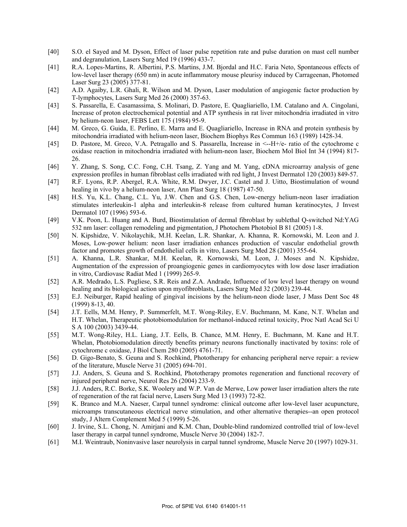- [40] S.O. el Sayed and M. Dyson, Effect of laser pulse repetition rate and pulse duration on mast cell number and degranulation, Lasers Surg Med 19 (1996) 433-7.
- [41] R.A. Lopes-Martins, R. Albertini, P.S. Martins, J.M. Bjordal and H.C. Faria Neto, Spontaneous effects of low-level laser therapy (650 nm) in acute inflammatory mouse pleurisy induced by Carrageenan, Photomed Laser Surg 23 (2005) 377-81.
- [42] A.D. Agaiby, L.R. Ghali, R. Wilson and M. Dyson, Laser modulation of angiogenic factor production by T-lymphocytes, Lasers Surg Med 26 (2000) 357-63.
- [43] S. Passarella, E. Casamassima, S. Molinari, D. Pastore, E. Quagliariello, I.M. Catalano and A. Cingolani, Increase of proton electrochemical potential and ATP synthesis in rat liver mitochondria irradiated in vitro by helium-neon laser, FEBS Lett 175 (1984) 95-9.
- [44] M. Greco, G. Guida, E. Perlino, E. Marra and E. Quagliariello, Increase in RNA and protein synthesis by mitochondria irradiated with helium-neon laser, Biochem Biophys Res Commun 163 (1989) 1428-34.
- [45] D. Pastore, M. Greco, V.A. Petragallo and S. Passarella, Increase in <--H+/e- ratio of the cytochrome c oxidase reaction in mitochondria irradiated with helium-neon laser, Biochem Mol Biol Int 34 (1994) 817- 26.
- [46] Y. Zhang, S. Song, C.C. Fong, C.H. Tsang, Z. Yang and M. Yang, cDNA microarray analysis of gene expression profiles in human fibroblast cells irradiated with red light, J Invest Dermatol 120 (2003) 849-57.
- [47] R.F. Lyons, R.P. Abergel, R.A. White, R.M. Dwyer, J.C. Castel and J. Uitto, Biostimulation of wound healing in vivo by a helium-neon laser, Ann Plast Surg 18 (1987) 47-50.
- [48] H.S. Yu, K.L. Chang, C.L. Yu, J.W. Chen and G.S. Chen, Low-energy helium-neon laser irradiation stimulates interleukin-1 alpha and interleukin-8 release from cultured human keratinocytes, J Invest Dermatol 107 (1996) 593-6.
- [49] V.K. Poon, L. Huang and A. Burd, Biostimulation of dermal fibroblast by sublethal Q-switched Nd:YAG 532 nm laser: collagen remodeling and pigmentation, J Photochem Photobiol B 81 (2005) 1-8.
- [50] N. Kipshidze, V. Nikolaychik, M.H. Keelan, L.R. Shankar, A. Khanna, R. Kornowski, M. Leon and J. Moses, Low-power helium: neon laser irradiation enhances production of vascular endothelial growth factor and promotes growth of endothelial cells in vitro, Lasers Surg Med 28 (2001) 355-64.
- [51] A. Khanna, L.R. Shankar, M.H. Keelan, R. Kornowski, M. Leon, J. Moses and N. Kipshidze, Augmentation of the expression of proangiogenic genes in cardiomyocytes with low dose laser irradiation in vitro, Cardiovasc Radiat Med 1 (1999) 265-9.
- [52] A.R. Medrado, L.S. Pugliese, S.R. Reis and Z.A. Andrade, Influence of low level laser therapy on wound healing and its biological action upon myofibroblasts, Lasers Surg Med 32 (2003) 239-44.
- [53] E.J. Neiburger, Rapid healing of gingival incisions by the helium-neon diode laser, J Mass Dent Soc 48 (1999) 8-13, 40.
- [54] J.T. Eells, M.M. Henry, P. Summerfelt, M.T. Wong-Riley, E.V. Buchmann, M. Kane, N.T. Whelan and H.T. Whelan, Therapeutic photobiomodulation for methanol-induced retinal toxicity, Proc Natl Acad Sci U S A 100 (2003) 3439-44.
- [55] M.T. Wong-Riley, H.L. Liang, J.T. Eells, B. Chance, M.M. Henry, E. Buchmann, M. Kane and H.T. Whelan, Photobiomodulation directly benefits primary neurons functionally inactivated by toxins: role of cytochrome c oxidase, J Biol Chem 280 (2005) 4761-71.
- [56] D. Gigo-Benato, S. Geuna and S. Rochkind, Phototherapy for enhancing peripheral nerve repair: a review of the literature, Muscle Nerve 31 (2005) 694-701.
- [57] J.J. Anders, S. Geuna and S. Rochkind, Phototherapy promotes regeneration and functional recovery of injured peripheral nerve, Neurol Res 26 (2004) 233-9.
- [58] J.J. Anders, R.C. Borke, S.K. Woolery and W.P. Van de Merwe, Low power laser irradiation alters the rate of regeneration of the rat facial nerve, Lasers Surg Med 13 (1993) 72-82.
- [59] K. Branco and M.A. Naeser, Carpal tunnel syndrome: clinical outcome after low-level laser acupuncture, microamps transcutaneous electrical nerve stimulation, and other alternative therapies--an open protocol study, J Altern Complement Med 5 (1999) 5-26.
- [60] J. Irvine, S.L. Chong, N. Amirjani and K.M. Chan, Double-blind randomized controlled trial of low-level laser therapy in carpal tunnel syndrome, Muscle Nerve 30 (2004) 182-7.
- [61] M.I. Weintraub, Noninvasive laser neurolysis in carpal tunnel syndrome, Muscle Nerve 20 (1997) 1029-31.